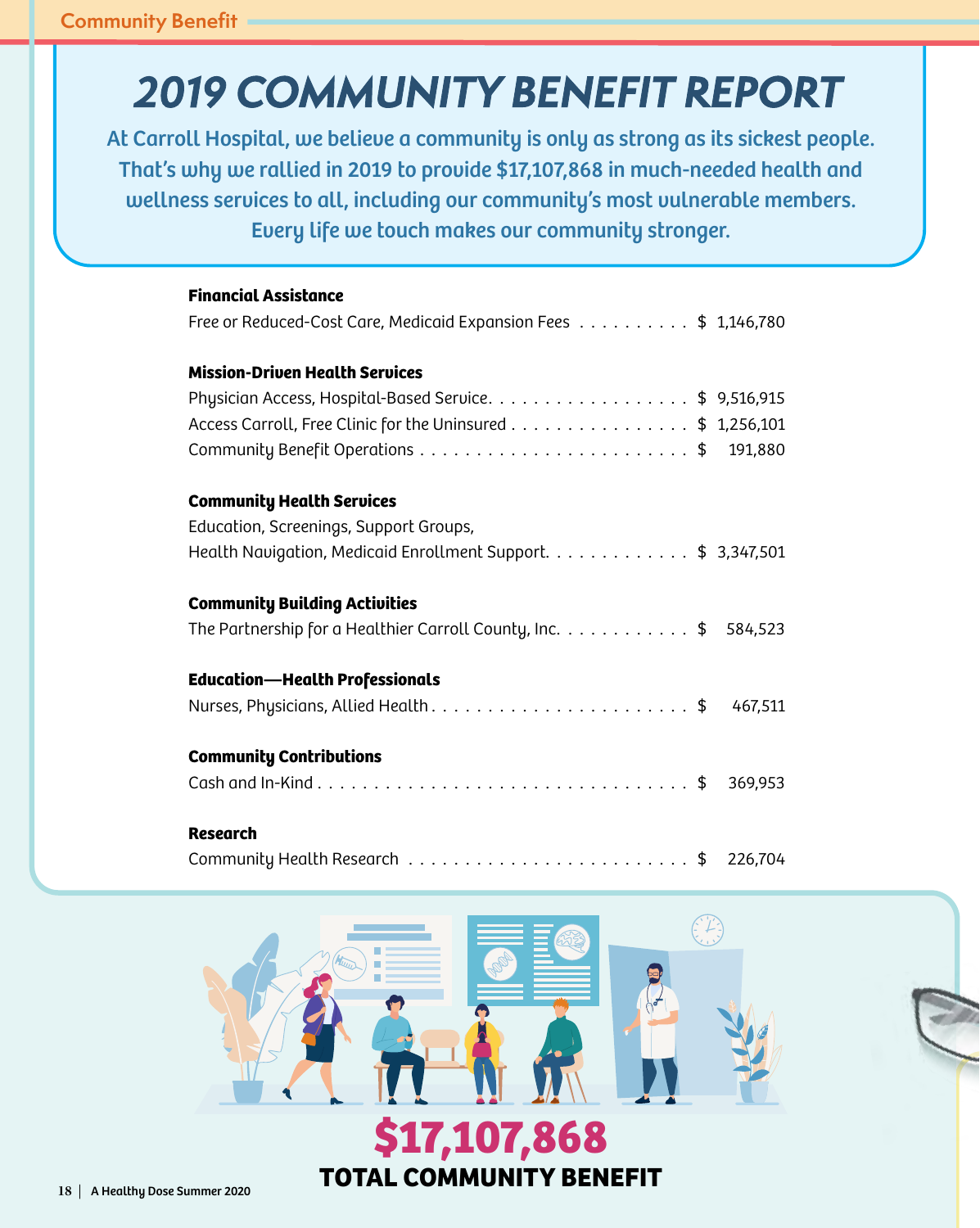## *2019 COMMUNITY BENEFIT REPORT*

At Carroll Hospital, we believe a community is only as strong as its sickest people. That's why we rallied in 2019 to provide \$17,107,868 in much-needed health and wellness services to all, including our community's most vulnerable members. Every life we touch makes our community stronger.

| <b>Financial Assistance</b>                                        |
|--------------------------------------------------------------------|
| Free or Reduced-Cost Care, Medicaid Expansion Fees \$ 1,146,780    |
| <b>Mission-Driven Health Services</b>                              |
| Physician Access, Hospital-Based Service. \$ 9,516,915             |
| Access Carroll, Free Clinic for the Uninsured \$ 1,256,101         |
| 191,880                                                            |
| <b>Community Health Services</b>                                   |
| Education, Screenings, Support Groups,                             |
| Health Navigation, Medicaid Enrollment Support. \$ 3,347,501       |
| <b>Community Building Activities</b>                               |
| The Partnership for a Healthier Carroll County, Inc. \$<br>584,523 |
| <b>Education-Health Professionals</b>                              |
| 467,511                                                            |
| <b>Community Contributions</b>                                     |
| 369,953                                                            |
| <b>Research</b>                                                    |